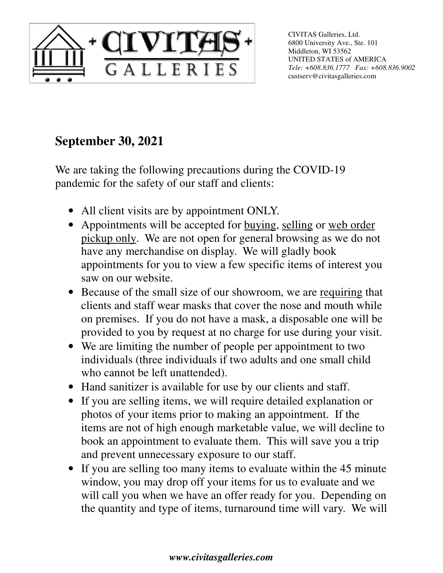

CIVITAS Galleries, Ltd. 6800 University Ave., Ste. 101 Middleton, WI 53562 UNITED STATES of AMERICA *Tele: +608.836.1777 Fax: +608.836.9002*  custserv@civitasgalleries.com

## **September 30, 2021**

We are taking the following precautions during the COVID-19 pandemic for the safety of our staff and clients:

- All client visits are by appointment ONLY.
- Appointments will be accepted for buying, selling or web order pickup only. We are not open for general browsing as we do not have any merchandise on display. We will gladly book appointments for you to view a few specific items of interest you saw on our website.
- Because of the small size of our showroom, we are requiring that clients and staff wear masks that cover the nose and mouth while on premises. If you do not have a mask, a disposable one will be provided to you by request at no charge for use during your visit.
- We are limiting the number of people per appointment to two individuals (three individuals if two adults and one small child who cannot be left unattended).
- Hand sanitizer is available for use by our clients and staff.
- If you are selling items, we will require detailed explanation or photos of your items prior to making an appointment. If the items are not of high enough marketable value, we will decline to book an appointment to evaluate them. This will save you a trip and prevent unnecessary exposure to our staff.
- If you are selling too many items to evaluate within the 45 minute window, you may drop off your items for us to evaluate and we will call you when we have an offer ready for you. Depending on the quantity and type of items, turnaround time will vary. We will